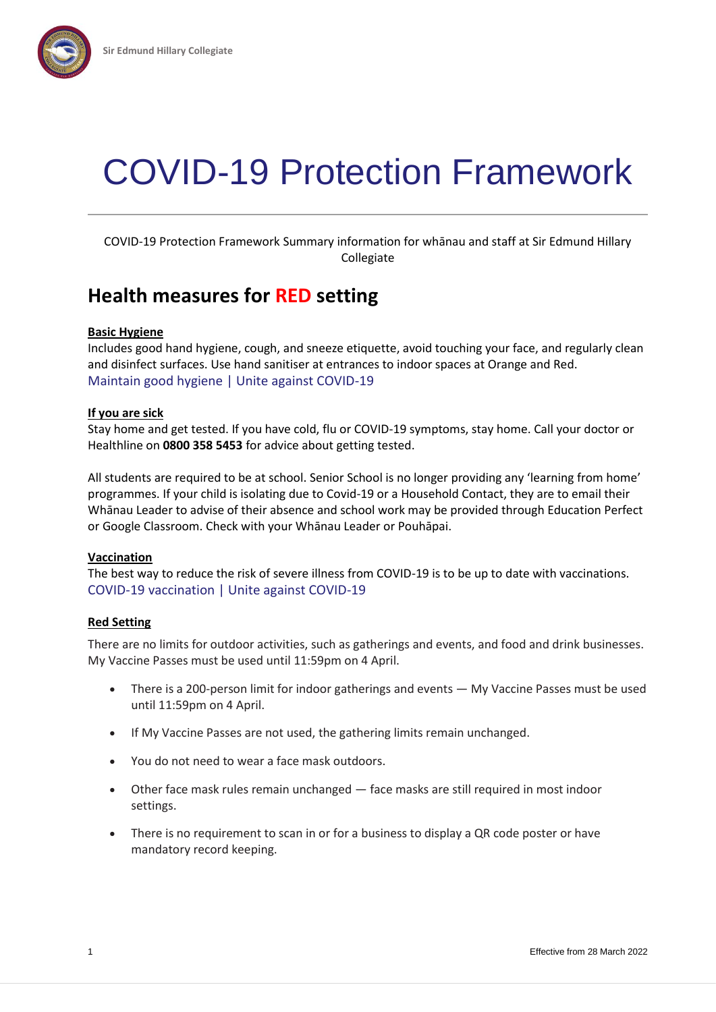

# COVID-19 Protection Framework

COVID-19 Protection Framework Summary information for whānau and staff at Sir Edmund Hillary Collegiate

### **Health measures for RED setting**

#### **Basic Hygiene**

Includes good hand hygiene, cough, and sneeze etiquette, avoid touching your face, and regularly clean and disinfect surfaces. Use hand sanitiser at entrances to indoor spaces at Orange and Red. [Maintain good hygiene | Unite against COVID-19](https://covid19.govt.nz/health-and-wellbeing/protect-yourself-and-others-from-covid-19/maintain-good-hygiene/)

#### **If you are sick**

Stay home and get tested. If you have cold, flu or COVID-19 symptoms, stay home. Call your doctor or Healthline on **0800 358 5453** for advice about getting tested.

All students are required to be at school. Senior School is no longer providing any 'learning from home' programmes. If your child is isolating due to Covid-19 or a Household Contact, they are to email their Whānau Leader to advise of their absence and school work may be provided through Education Perfect or Google Classroom. Check with your Whānau Leader or Pouhāpai.

#### **Vaccination**

The best way to reduce the risk of severe illness from COVID-19 is to be up to date with vaccinations. [COVID-19 vaccination | Unite against COVID-19](https://covid19.govt.nz/covid-19-vaccines/how-to-get-a-covid-19-vaccination/)

#### **Red Setting**

There are no limits for outdoor activities, such as gatherings and events, and food and drink businesses. My Vaccine Passes must be used until 11:59pm on 4 April.

- There is a 200-person limit for indoor gatherings and events My Vaccine Passes must be used until 11:59pm on 4 April.
- If My Vaccine Passes are not used, the gathering limits remain unchanged.
- You do not need to wear a face mask outdoors.
- Other face mask rules remain unchanged face masks are still required in most indoor settings.
- There is no requirement to scan in or for a business to display a QR code poster or have mandatory record keeping.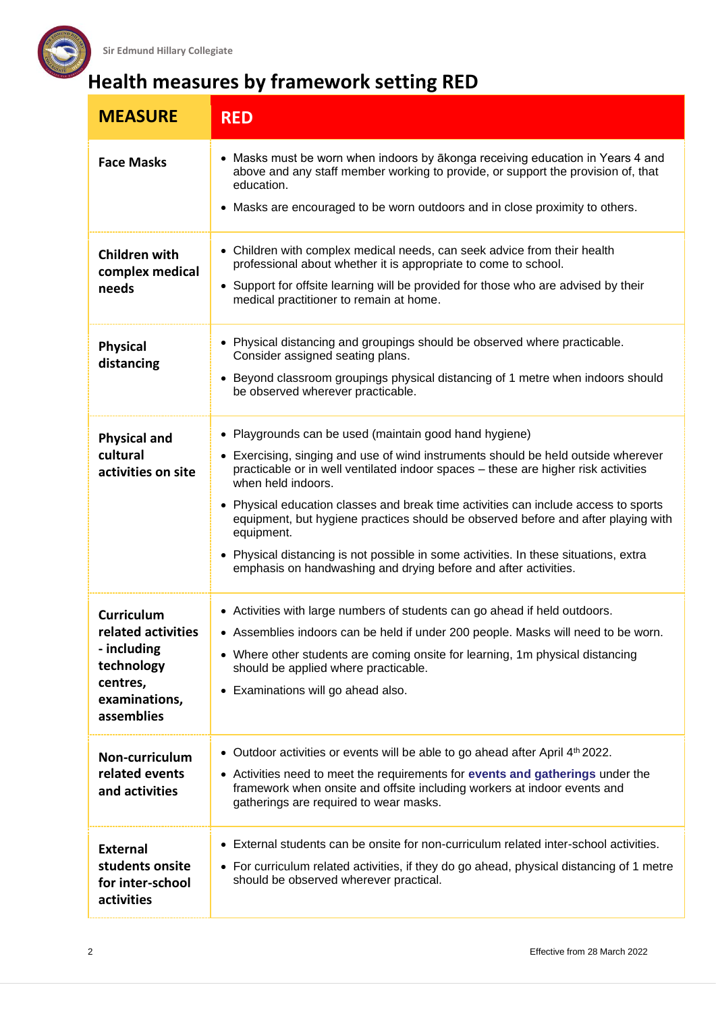

## **Health measures by framework setting RED**

| <b>MEASURE</b>                                                                                                  | <b>RED</b>                                                                                                                                                                                                                                                                                                                                                                                                                                                                                                                                                                                                   |
|-----------------------------------------------------------------------------------------------------------------|--------------------------------------------------------------------------------------------------------------------------------------------------------------------------------------------------------------------------------------------------------------------------------------------------------------------------------------------------------------------------------------------------------------------------------------------------------------------------------------------------------------------------------------------------------------------------------------------------------------|
| <b>Face Masks</b>                                                                                               | • Masks must be worn when indoors by akonga receiving education in Years 4 and<br>above and any staff member working to provide, or support the provision of, that<br>education.<br>• Masks are encouraged to be worn outdoors and in close proximity to others.                                                                                                                                                                                                                                                                                                                                             |
| Children with<br>complex medical<br>needs                                                                       | • Children with complex medical needs, can seek advice from their health<br>professional about whether it is appropriate to come to school.<br>• Support for offsite learning will be provided for those who are advised by their<br>medical practitioner to remain at home.                                                                                                                                                                                                                                                                                                                                 |
| <b>Physical</b><br>distancing                                                                                   | • Physical distancing and groupings should be observed where practicable.<br>Consider assigned seating plans.<br>• Beyond classroom groupings physical distancing of 1 metre when indoors should<br>be observed wherever practicable.                                                                                                                                                                                                                                                                                                                                                                        |
| <b>Physical and</b><br>cultural<br>activities on site                                                           | • Playgrounds can be used (maintain good hand hygiene)<br>• Exercising, singing and use of wind instruments should be held outside wherever<br>practicable or in well ventilated indoor spaces - these are higher risk activities<br>when held indoors.<br>• Physical education classes and break time activities can include access to sports<br>equipment, but hygiene practices should be observed before and after playing with<br>equipment.<br>• Physical distancing is not possible in some activities. In these situations, extra<br>emphasis on handwashing and drying before and after activities. |
| <b>Curriculum</b><br>related activities<br>- including<br>technology<br>centres,<br>examinations,<br>assemblies | • Activities with large numbers of students can go ahead if held outdoors.<br>• Assemblies indoors can be held if under 200 people. Masks will need to be worn.<br>• Where other students are coming onsite for learning, 1m physical distancing<br>should be applied where practicable.<br>• Examinations will go ahead also.                                                                                                                                                                                                                                                                               |
| Non-curriculum<br>related events<br>and activities                                                              | • Outdoor activities or events will be able to go ahead after April 4 <sup>th</sup> 2022.<br>• Activities need to meet the requirements for events and gatherings under the<br>framework when onsite and offsite including workers at indoor events and<br>gatherings are required to wear masks.                                                                                                                                                                                                                                                                                                            |
| <b>External</b><br>students onsite<br>for inter-school<br>activities                                            | • External students can be onsite for non-curriculum related inter-school activities.<br>• For curriculum related activities, if they do go ahead, physical distancing of 1 metre<br>should be observed wherever practical.                                                                                                                                                                                                                                                                                                                                                                                  |